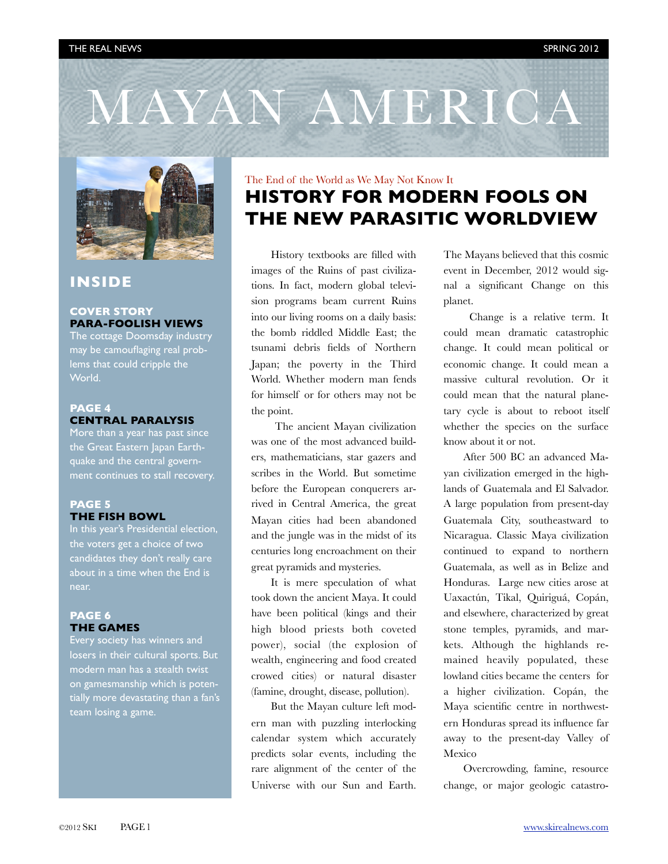



## **INSIDE**

#### **COVER STORY PARA-FOOLISH VIEWS**

The cottage Doomsday industry may be camouflaging real problems that could cripple the World.

### **PAGE 4 CENTRAL PARALYSIS**

More than a year has past since the Great Eastern Japan Earthquake and the central government continues to stall recovery.

#### **PAGE 5 THE FISH BOWL**

In this year's Presidential election, the voters get a choice of two candidates they don't really care about in a time when the End is near.

#### **PAGE 6 THE GAMES**

Every society has winners and losers in their cultural sports. But modern man has a stealth twist on gamesmanship which is potentially more devastating than a fan's team losing a game.

# The End of the World as We May Not Know It **HISTORY FOR MODERN FOOLS ON THE NEW PARASITIC WORLDVIEW**

History textbooks are filled with images of the Ruins of past civilizations. In fact, modern global television programs beam current Ruins into our living rooms on a daily basis: the bomb riddled Middle East; the tsunami debris fields of Northern Japan; the poverty in the Third World. Whether modern man fends for himself or for others may not be the point.

 The ancient Mayan civilization was one of the most advanced builders, mathematicians, star gazers and scribes in the World. But sometime before the European conquerers arrived in Central America, the great Mayan cities had been abandoned and the jungle was in the midst of its centuries long encroachment on their great pyramids and mysteries.

It is mere speculation of what took down the ancient Maya. It could have been political (kings and their high blood priests both coveted power), social (the explosion of wealth, engineering and food created crowed cities) or natural disaster (famine, drought, disease, pollution).

But the Mayan culture left modern man with puzzling interlocking calendar system which accurately predicts solar events, including the rare alignment of the center of the Universe with our Sun and Earth. The Mayans believed that this cosmic event in December, 2012 would signal a significant Change on this planet.

 Change is a relative term. It could mean dramatic catastrophic change. It could mean political or economic change. It could mean a massive cultural revolution. Or it could mean that the natural planetary cycle is about to reboot itself whether the species on the surface know about it or not.

After 500 BC an advanced Mayan civilization emerged in the highlands of Guatemala and El Salvador. A large population from present-day Guatemala City, southeastward to Nicaragua. Classic Maya civilization continued to expand to northern Guatemala, as well as in Belize and Honduras. Large new cities arose at Uaxactún, Tikal, Quiriguá, Copán, and elsewhere, characterized by great stone temples, pyramids, and markets. Although the highlands remained heavily populated, these lowland cities became the centers for a higher civilization. Copán, the Maya scientific centre in northwestern Honduras spread its influence far away to the present-day Valley of Mexico

Overcrowding, famine, resource change, or major geologic catastro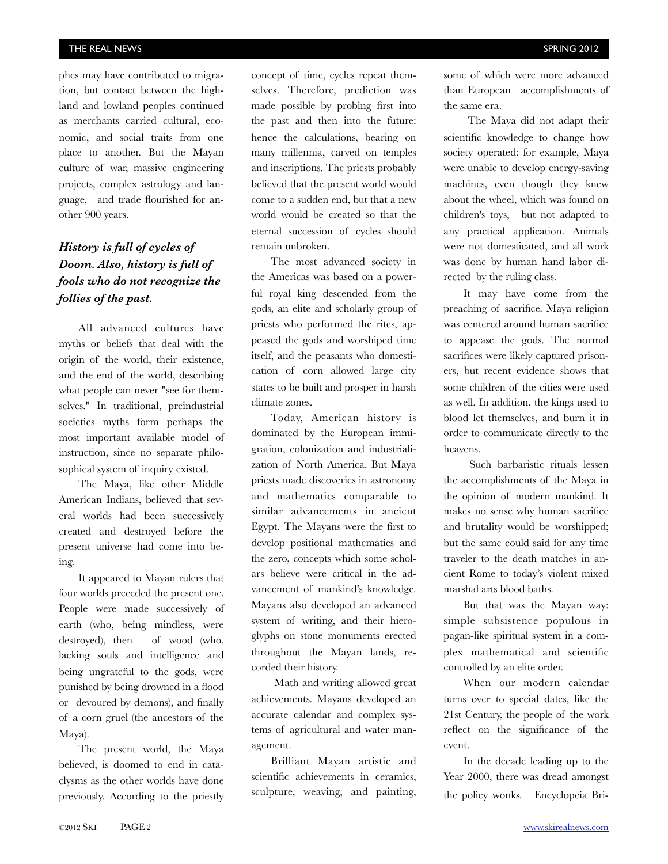phes may have contributed to migration, but contact between the highland and lowland peoples continued as merchants carried cultural, economic, and social traits from one place to another. But the Mayan culture of war, massive engineering projects, complex astrology and language, and trade flourished for another 900 years.

## *History is full of cycles of Doom. Also, history is full of fools who do not recognize the follies of the past.*

All advanced cultures have myths or beliefs that deal with the origin of the world, their existence, and the end of the world, describing what people can never "see for themselves." In traditional, preindustrial societies myths form perhaps the most important available model of instruction, since no separate philosophical system of inquiry existed.

The Maya, like other Middle American Indians, believed that several worlds had been successively created and destroyed before the present universe had come into being.

It appeared to Mayan rulers that four worlds preceded the present one. People were made successively of earth (who, being mindless, were destroyed), then of wood (who, lacking souls and intelligence and being ungrateful to the gods, were punished by being drowned in a flood or devoured by demons), and finally of a corn gruel (the ancestors of the Maya).

The present world, the Maya believed, is doomed to end in cataclysms as the other worlds have done previously. According to the priestly

concept of time, cycles repeat themselves. Therefore, prediction was made possible by probing first into the past and then into the future: hence the calculations, bearing on many millennia, carved on temples and inscriptions. The priests probably believed that the present world would come to a sudden end, but that a new world would be created so that the eternal succession of cycles should remain unbroken.

The most advanced society in the Americas was based on a powerful royal king descended from the gods, an elite and scholarly group of priests who performed the rites, appeased the gods and worshiped time itself, and the peasants who domestication of corn allowed large city states to be built and prosper in harsh climate zones.

Today, American history is dominated by the European immigration, colonization and industrialization of North America. But Maya priests made discoveries in astronomy and mathematics comparable to similar advancements in ancient Egypt. The Mayans were the first to develop positional mathematics and the zero, concepts which some scholars believe were critical in the advancement of mankind's knowledge. Mayans also developed an advanced system of writing, and their hieroglyphs on stone monuments erected throughout the Mayan lands, recorded their history.

 Math and writing allowed great achievements. Mayans developed an accurate calendar and complex systems of agricultural and water management.

Brilliant Mayan artistic and scientific achievements in ceramics, sculpture, weaving, and painting,

some of which were more advanced than European accomplishments of the same era.

 The Maya did not adapt their scientific knowledge to change how society operated: for example, Maya were unable to develop energy-saving machines, even though they knew about the wheel, which was found on children's toys, but not adapted to any practical application. Animals were not domesticated, and all work was done by human hand labor directed by the ruling class.

It may have come from the preaching of sacrifice. Maya religion was centered around human sacrifice to appease the gods. The normal sacrifices were likely captured prisoners, but recent evidence shows that some children of the cities were used as well. In addition, the kings used to blood let themselves, and burn it in order to communicate directly to the heavens.

 Such barbaristic rituals lessen the accomplishments of the Maya in the opinion of modern mankind. It makes no sense why human sacrifice and brutality would be worshipped; but the same could said for any time traveler to the death matches in ancient Rome to today's violent mixed marshal arts blood baths.

But that was the Mayan way: simple subsistence populous in pagan-like spiritual system in a complex mathematical and scientific controlled by an elite order.

When our modern calendar turns over to special dates, like the 21st Century, the people of the work reflect on the significance of the event.

In the decade leading up to the Year 2000, there was dread amongst the policy wonks. Encyclopeia Bri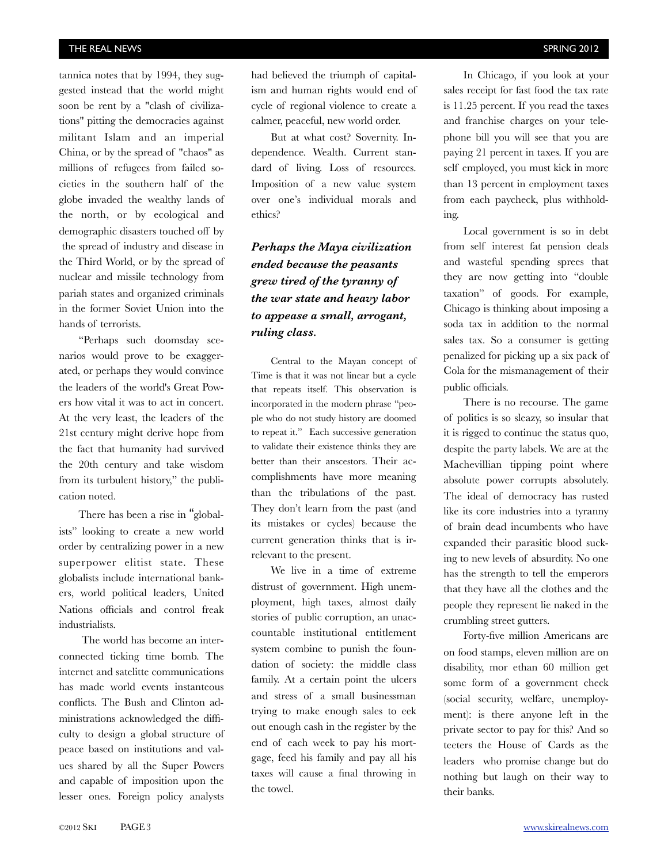tannica notes that by 1994, they suggested instead that the world might soon be rent by a "clash of civilizations" pitting the democracies against militant Islam and an imperial China, or by the spread of "chaos" as millions of refugees from failed societies in the southern half of the globe invaded the wealthy lands of the north, or by ecological and demographic disasters touched off by the spread of industry and disease in the Third World, or by the spread of nuclear and missile technology from pariah states and organized criminals in the former Soviet Union into the hands of terrorists.

"Perhaps such doomsday scenarios would prove to be exaggerated, or perhaps they would convince the leaders of the world's Great Powers how vital it was to act in concert. At the very least, the leaders of the 21st century might derive hope from the fact that humanity had survived the 20th century and take wisdom from its turbulent history," the publication noted.

There has been a rise in "globalists" looking to create a new world order by centralizing power in a new superpower elitist state. These globalists include international bankers, world political leaders, United Nations officials and control freak industrialists.

 The world has become an interconnected ticking time bomb. The internet and satelitte communications has made world events instanteous conflicts. The Bush and Clinton administrations acknowledged the difficulty to design a global structure of peace based on institutions and values shared by all the Super Powers and capable of imposition upon the lesser ones. Foreign policy analysts

had believed the triumph of capitalism and human rights would end of cycle of regional violence to create a calmer, peaceful, new world order.

But at what cost? Sovernity. Independence. Wealth. Current standard of living. Loss of resources. Imposition of a new value system over one's individual morals and ethics?

# *Perhaps the Maya civilization ended because the peasants grew tired of the tyranny of the war state and heavy labor to appease a small, arrogant, ruling class.*

Central to the Mayan concept of Time is that it was not linear but a cycle that repeats itself. This observation is incorporated in the modern phrase "people who do not study history are doomed to repeat it." Each successive generation to validate their existence thinks they are better than their anscestors. Their accomplishments have more meaning than the tribulations of the past. They don't learn from the past (and its mistakes or cycles) because the current generation thinks that is irrelevant to the present.

We live in a time of extreme distrust of government. High unemployment, high taxes, almost daily stories of public corruption, an unaccountable institutional entitlement system combine to punish the foundation of society: the middle class family. At a certain point the ulcers and stress of a small businessman trying to make enough sales to eek out enough cash in the register by the end of each week to pay his mortgage, feed his family and pay all his taxes will cause a final throwing in the towel.

In Chicago, if you look at your sales receipt for fast food the tax rate is 11.25 percent. If you read the taxes and franchise charges on your telephone bill you will see that you are paying 21 percent in taxes. If you are self employed, you must kick in more than 13 percent in employment taxes from each paycheck, plus withholding.

Local government is so in debt from self interest fat pension deals and wasteful spending sprees that they are now getting into "double taxation" of goods. For example, Chicago is thinking about imposing a soda tax in addition to the normal sales tax. So a consumer is getting penalized for picking up a six pack of Cola for the mismanagement of their public officials.

There is no recourse. The game of politics is so sleazy, so insular that it is rigged to continue the status quo, despite the party labels. We are at the Machevillian tipping point where absolute power corrupts absolutely. The ideal of democracy has rusted like its core industries into a tyranny of brain dead incumbents who have expanded their parasitic blood sucking to new levels of absurdity. No one has the strength to tell the emperors that they have all the clothes and the people they represent lie naked in the crumbling street gutters.

Forty-five million Americans are on food stamps, eleven million are on disability, mor ethan 60 million get some form of a government check (social security, welfare, unemployment): is there anyone left in the private sector to pay for this? And so teeters the House of Cards as the leaders who promise change but do nothing but laugh on their way to their banks.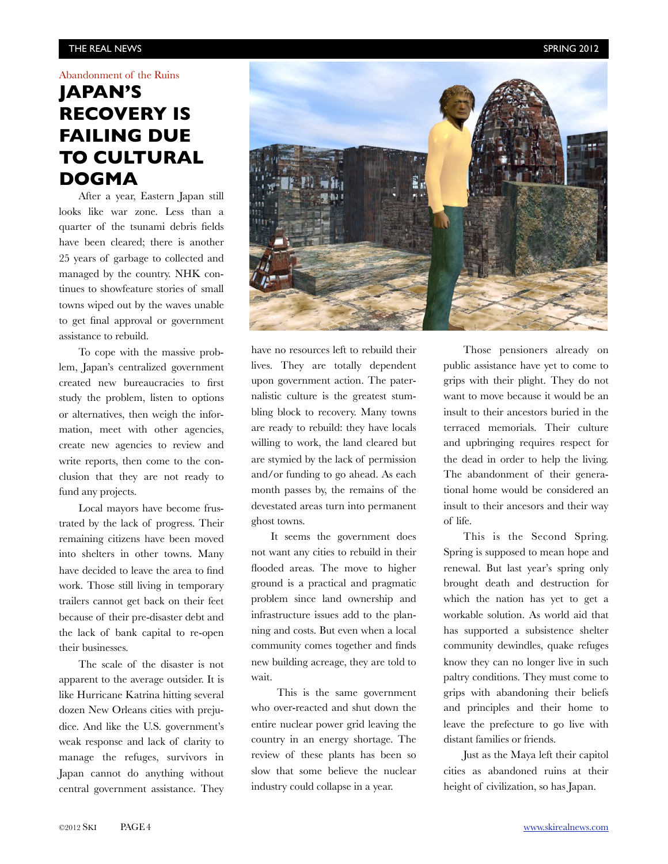#### THE REAL NEWS SPRING 2012

#### Abandonment of the Ruins

# **JAPAN'S RECOVERY IS FAILING DUE TO CULTURAL DOGMA**

After a year, Eastern Japan still looks like war zone. Less than a quarter of the tsunami debris fields have been cleared; there is another 25 years of garbage to collected and managed by the country. NHK continues to showfeature stories of small towns wiped out by the waves unable to get final approval or government assistance to rebuild.

To cope with the massive problem, Japan's centralized government created new bureaucracies to first study the problem, listen to options or alternatives, then weigh the information, meet with other agencies, create new agencies to review and write reports, then come to the conclusion that they are not ready to fund any projects.

Local mayors have become frustrated by the lack of progress. Their remaining citizens have been moved into shelters in other towns. Many have decided to leave the area to find work. Those still living in temporary trailers cannot get back on their feet because of their pre-disaster debt and the lack of bank capital to re-open their businesses.

The scale of the disaster is not apparent to the average outsider. It is like Hurricane Katrina hitting several dozen New Orleans cities with prejudice. And like the U.S. government's weak response and lack of clarity to manage the refuges, survivors in Japan cannot do anything without central government assistance. They



have no resources left to rebuild their lives. They are totally dependent upon government action. The paternalistic culture is the greatest stumbling block to recovery. Many towns are ready to rebuild: they have locals willing to work, the land cleared but are stymied by the lack of permission and/or funding to go ahead. As each month passes by, the remains of the devestated areas turn into permanent ghost towns.

It seems the government does not want any cities to rebuild in their flooded areas. The move to higher ground is a practical and pragmatic problem since land ownership and infrastructure issues add to the planning and costs. But even when a local community comes together and finds new building acreage, they are told to wait.

 This is the same government who over-reacted and shut down the entire nuclear power grid leaving the country in an energy shortage. The review of these plants has been so slow that some believe the nuclear industry could collapse in a year.

Those pensioners already on public assistance have yet to come to grips with their plight. They do not want to move because it would be an insult to their ancestors buried in the terraced memorials. Their culture and upbringing requires respect for the dead in order to help the living. The abandonment of their generational home would be considered an insult to their ancesors and their way of life.

This is the Second Spring. Spring is supposed to mean hope and renewal. But last year's spring only brought death and destruction for which the nation has yet to get a workable solution. As world aid that has supported a subsistence shelter community dewindles, quake refuges know they can no longer live in such paltry conditions. They must come to grips with abandoning their beliefs and principles and their home to leave the prefecture to go live with distant families or friends.

Just as the Maya left their capitol cities as abandoned ruins at their height of civilization, so has Japan.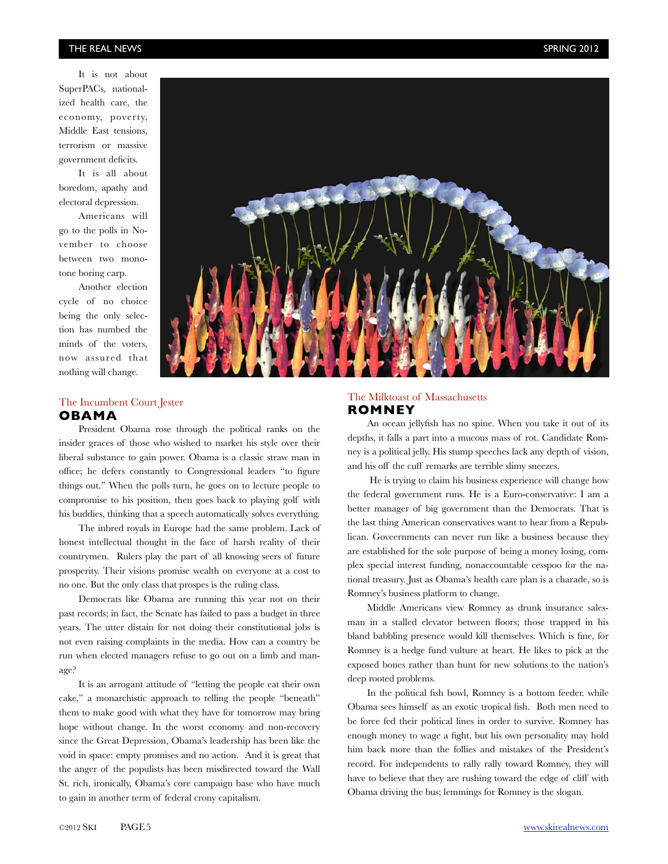#### THE REAL NEWS SPRING 2012

It is not about SuperPACs, nationalized health care, the economy, poverty, Middle East tensions, terrorism or massive government deficits.

It is all about boredom, apathy and electoral depression.

Americans will go to the polls in November to choose between two monotone boring carp.

Another election cycle of no choice being the only selection has numbed the minds of the voters, now assured that nothing will change.

#### The Incumbent Court Jester **OBAMA**

President Obama rose through the political ranks on the insider graces of those who wished to market his style over their liberal substance to gain power. Obama is a classic straw man in office; he defers constantly to Congressional leaders "to figure things out." When the polls turn, he goes on to lecture people to compromise to his position, then goes back to playing golf with his buddies, thinking that a speech automatically solves everything.

The inbred royals in Europe had the same problem. Lack of honest intellectual thought in the face of harsh reality of their countrymen. Rulers play the part of all knowing seers of future prosperity. Their visions promise wealth on everyone at a cost to no one. But the only class that prospes is the ruling class.

Democrats like Obama are running this year not on their past records; in fact, the Senate has failed to pass a budget in three years. The utter distain for not doing their constitutional jobs is not even raising complaints in the media. How can a country be run when elected managers refuse to go out on a limb and manage?

It is an arrogant attitude of "letting the people eat their own cake," a monarchistic approach to telling the people "beneath" them to make good with what they have for tomorrow may bring hope without change. In the worst economy and non-recovery since the Great Depression, Obama's leadership has been like the void in space: empty promises and no action. And it is great that the anger of the populists has been misdirected toward the Wall St. rich, ironically, Obama's core campaign base who have much to gain in another term of federal crony capitalism.

#### The Milktoast of Massachusetts **ROMNEY**

An ocean jellyfish has no spine. When you take it out of its depths, it falls a part into a mucous mass of rot. Candidate Romney is a political jelly. His stump speeches lack any depth of vision, and his off the cuff remarks are terrible slimy sneezes.

 He is trying to claim his business experience will change how the federal government runs. He is a Euro-conservative: I am a better manager of big government than the Democrats. That is the last thing American conservatives want to hear from a Republican. Goveernments can never run like a business because they are established for the sole purpose of being a money losing, complex special interest funding, nonaccountable cesspoo for the national treasury. Just as Obama's health care plan is a charade, so is Romney's business platform to change.

Middle Americans view Romney as drunk insurance salesman in a stalled elevator between floors; those trapped in his bland babbling presence would kill themselves. Which is fine, for Romney is a hedge fund vulture at heart. He likes to pick at the exposed bones rather than hunt for new solutions to the nation's deep rooted problems.

In the political fish bowl, Romney is a bottom feeder. while Obama sees himself as an exotic tropical fish. Both men need to be force fed their political lines in order to survive. Romney has enough money to wage a fight, but his own personality may hold him back more than the follies and mistakes of the President's record. For independents to rally rally toward Romney, they will have to believe that they are rushing toward the edge of cliff with Obama driving the bus; lemmings for Romney is the slogan.